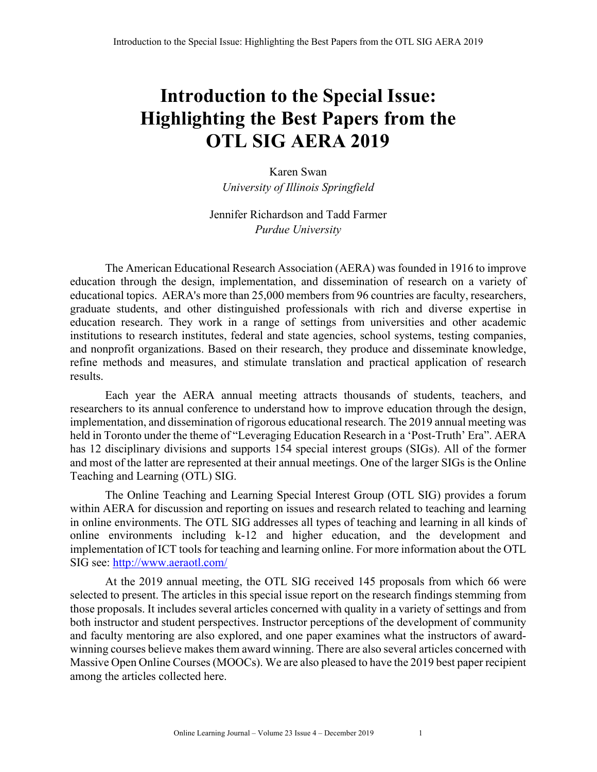## **Introduction to the Special Issue: Highlighting the Best Papers from the OTL SIG AERA 2019**

Karen Swan *University of Illinois Springfield*

Jennifer Richardson and Tadd Farmer *Purdue University*

The American Educational Research Association (AERA) was founded in 1916 to improve education through the design, implementation, and dissemination of research on a variety of educational topics. AERA's more than 25,000 members from 96 countries are faculty, researchers, graduate students, and other distinguished professionals with rich and diverse expertise in education research. They work in a range of settings from universities and other academic institutions to research institutes, federal and state agencies, school systems, testing companies, and nonprofit organizations. Based on their research, they produce and disseminate knowledge, refine methods and measures, and stimulate translation and practical application of research results.

Each year the AERA annual meeting attracts thousands of students, teachers, and researchers to its annual conference to understand how to improve education through the design, implementation, and dissemination of rigorous educational research. The 2019 annual meeting was held in Toronto under the theme of "Leveraging Education Research in a 'Post-Truth' Era". AERA has 12 disciplinary divisions and supports 154 special interest groups (SIGs). All of the former and most of the latter are represented at their annual meetings. One of the larger SIGs is the Online Teaching and Learning (OTL) SIG.

The Online Teaching and Learning Special Interest Group (OTL SIG) provides a forum within AERA for discussion and reporting on issues and research related to teaching and learning in online environments. The OTL SIG addresses all types of teaching and learning in all kinds of online environments including k-12 and higher education, and the development and implementation of ICT tools for teaching and learning online. For more information about the OTL SIG see: http://www.aeraotl.com/

At the 2019 annual meeting, the OTL SIG received 145 proposals from which 66 were selected to present. The articles in this special issue report on the research findings stemming from those proposals. It includes several articles concerned with quality in a variety of settings and from both instructor and student perspectives. Instructor perceptions of the development of community and faculty mentoring are also explored, and one paper examines what the instructors of awardwinning courses believe makes them award winning. There are also several articles concerned with Massive Open Online Courses (MOOCs). We are also pleased to have the 2019 best paper recipient among the articles collected here.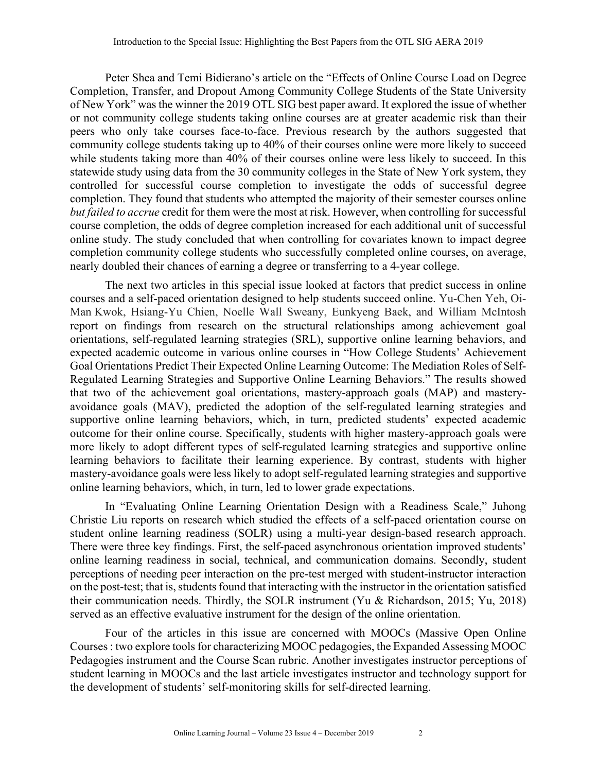Peter Shea and Temi Bidierano's article on the "Effects of Online Course Load on Degree Completion, Transfer, and Dropout Among Community College Students of the State University of New York" was the winner the 2019 OTL SIG best paper award. It explored the issue of whether or not community college students taking online courses are at greater academic risk than their peers who only take courses face-to-face. Previous research by the authors suggested that community college students taking up to 40% of their courses online were more likely to succeed while students taking more than 40% of their courses online were less likely to succeed. In this statewide study using data from the 30 community colleges in the State of New York system, they controlled for successful course completion to investigate the odds of successful degree completion. They found that students who attempted the majority of their semester courses online *but failed to accrue* credit for them were the most at risk. However, when controlling for successful course completion, the odds of degree completion increased for each additional unit of successful online study. The study concluded that when controlling for covariates known to impact degree completion community college students who successfully completed online courses, on average, nearly doubled their chances of earning a degree or transferring to a 4-year college.

The next two articles in this special issue looked at factors that predict success in online courses and a self-paced orientation designed to help students succeed online. Yu-Chen Yeh, Oi-Man Kwok, Hsiang-Yu Chien, Noelle Wall Sweany, Eunkyeng Baek, and William McIntosh report on findings from research on the structural relationships among achievement goal orientations, self-regulated learning strategies (SRL), supportive online learning behaviors, and expected academic outcome in various online courses in "How College Students' Achievement Goal Orientations Predict Their Expected Online Learning Outcome: The Mediation Roles of Self-Regulated Learning Strategies and Supportive Online Learning Behaviors." The results showed that two of the achievement goal orientations, mastery-approach goals (MAP) and masteryavoidance goals (MAV), predicted the adoption of the self-regulated learning strategies and supportive online learning behaviors, which, in turn, predicted students' expected academic outcome for their online course. Specifically, students with higher mastery-approach goals were more likely to adopt different types of self-regulated learning strategies and supportive online learning behaviors to facilitate their learning experience. By contrast, students with higher mastery-avoidance goals were less likely to adopt self-regulated learning strategies and supportive online learning behaviors, which, in turn, led to lower grade expectations.

In "Evaluating Online Learning Orientation Design with a Readiness Scale," Juhong Christie Liu reports on research which studied the effects of a self-paced orientation course on student online learning readiness (SOLR) using a multi-year design-based research approach. There were three key findings. First, the self-paced asynchronous orientation improved students' online learning readiness in social, technical, and communication domains. Secondly, student perceptions of needing peer interaction on the pre-test merged with student-instructor interaction on the post-test; that is, students found that interacting with the instructor in the orientation satisfied their communication needs. Thirdly, the SOLR instrument (Yu & Richardson, 2015; Yu, 2018) served as an effective evaluative instrument for the design of the online orientation.

Four of the articles in this issue are concerned with MOOCs (Massive Open Online Courses : two explore tools for characterizing MOOC pedagogies, the Expanded Assessing MOOC Pedagogies instrument and the Course Scan rubric. Another investigates instructor perceptions of student learning in MOOCs and the last article investigates instructor and technology support for the development of students' self-monitoring skills for self-directed learning.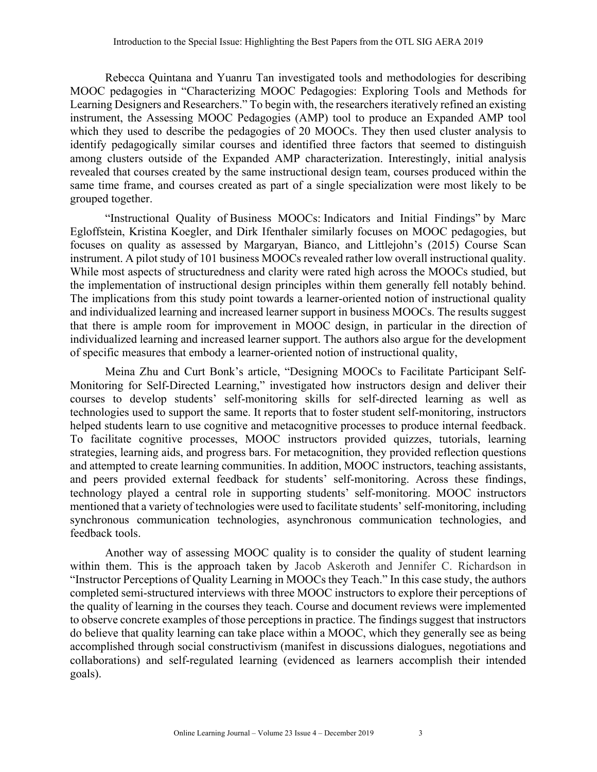Rebecca Quintana and Yuanru Tan investigated tools and methodologies for describing MOOC pedagogies in "Characterizing MOOC Pedagogies: Exploring Tools and Methods for Learning Designers and Researchers." To begin with, the researchers iteratively refined an existing instrument, the Assessing MOOC Pedagogies (AMP) tool to produce an Expanded AMP tool which they used to describe the pedagogies of 20 MOOCs. They then used cluster analysis to identify pedagogically similar courses and identified three factors that seemed to distinguish among clusters outside of the Expanded AMP characterization. Interestingly, initial analysis revealed that courses created by the same instructional design team, courses produced within the same time frame, and courses created as part of a single specialization were most likely to be grouped together.

"Instructional Quality of Business MOOCs: Indicators and Initial Findings" by Marc Egloffstein, Kristina Koegler, and Dirk Ifenthaler similarly focuses on MOOC pedagogies, but focuses on quality as assessed by Margaryan, Bianco, and Littlejohn's (2015) Course Scan instrument. A pilot study of 101 business MOOCs revealed rather low overall instructional quality. While most aspects of structuredness and clarity were rated high across the MOOCs studied, but the implementation of instructional design principles within them generally fell notably behind. The implications from this study point towards a learner-oriented notion of instructional quality and individualized learning and increased learner support in business MOOCs. The results suggest that there is ample room for improvement in MOOC design, in particular in the direction of individualized learning and increased learner support. The authors also argue for the development of specific measures that embody a learner-oriented notion of instructional quality,

Meina Zhu and Curt Bonk's article, "Designing MOOCs to Facilitate Participant Self-Monitoring for Self-Directed Learning," investigated how instructors design and deliver their courses to develop students' self-monitoring skills for self-directed learning as well as technologies used to support the same. It reports that to foster student self-monitoring, instructors helped students learn to use cognitive and metacognitive processes to produce internal feedback. To facilitate cognitive processes, MOOC instructors provided quizzes, tutorials, learning strategies, learning aids, and progress bars. For metacognition, they provided reflection questions and attempted to create learning communities. In addition, MOOC instructors, teaching assistants, and peers provided external feedback for students' self-monitoring. Across these findings, technology played a central role in supporting students' self-monitoring. MOOC instructors mentioned that a variety of technologies were used to facilitate students' self-monitoring, including synchronous communication technologies, asynchronous communication technologies, and feedback tools.

Another way of assessing MOOC quality is to consider the quality of student learning within them. This is the approach taken by Jacob Askeroth and Jennifer C. Richardson in "Instructor Perceptions of Quality Learning in MOOCs they Teach." In this case study, the authors completed semi-structured interviews with three MOOC instructors to explore their perceptions of the quality of learning in the courses they teach. Course and document reviews were implemented to observe concrete examples of those perceptions in practice. The findings suggest that instructors do believe that quality learning can take place within a MOOC, which they generally see as being accomplished through social constructivism (manifest in discussions dialogues, negotiations and collaborations) and self-regulated learning (evidenced as learners accomplish their intended goals).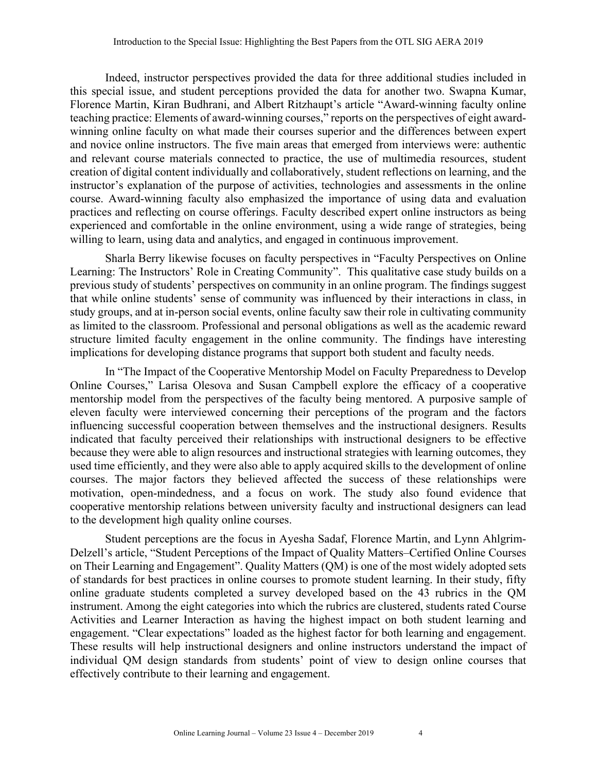Indeed, instructor perspectives provided the data for three additional studies included in this special issue, and student perceptions provided the data for another two. Swapna Kumar, Florence Martin, Kiran Budhrani, and Albert Ritzhaupt's article "Award-winning faculty online teaching practice: Elements of award-winning courses," reports on the perspectives of eight awardwinning online faculty on what made their courses superior and the differences between expert and novice online instructors. The five main areas that emerged from interviews were: authentic and relevant course materials connected to practice, the use of multimedia resources, student creation of digital content individually and collaboratively, student reflections on learning, and the instructor's explanation of the purpose of activities, technologies and assessments in the online course. Award-winning faculty also emphasized the importance of using data and evaluation practices and reflecting on course offerings. Faculty described expert online instructors as being experienced and comfortable in the online environment, using a wide range of strategies, being willing to learn, using data and analytics, and engaged in continuous improvement.

Sharla Berry likewise focuses on faculty perspectives in "Faculty Perspectives on Online Learning: The Instructors' Role in Creating Community". This qualitative case study builds on a previous study of students' perspectives on community in an online program. The findings suggest that while online students' sense of community was influenced by their interactions in class, in study groups, and at in-person social events, online faculty saw their role in cultivating community as limited to the classroom. Professional and personal obligations as well as the academic reward structure limited faculty engagement in the online community. The findings have interesting implications for developing distance programs that support both student and faculty needs.

In "The Impact of the Cooperative Mentorship Model on Faculty Preparedness to Develop Online Courses," Larisa Olesova and Susan Campbell explore the efficacy of a cooperative mentorship model from the perspectives of the faculty being mentored. A purposive sample of eleven faculty were interviewed concerning their perceptions of the program and the factors influencing successful cooperation between themselves and the instructional designers. Results indicated that faculty perceived their relationships with instructional designers to be effective because they were able to align resources and instructional strategies with learning outcomes, they used time efficiently, and they were also able to apply acquired skills to the development of online courses. The major factors they believed affected the success of these relationships were motivation, open-mindedness, and a focus on work. The study also found evidence that cooperative mentorship relations between university faculty and instructional designers can lead to the development high quality online courses.

Student perceptions are the focus in Ayesha Sadaf, Florence Martin, and Lynn Ahlgrim-Delzell's article, "Student Perceptions of the Impact of Quality Matters–Certified Online Courses on Their Learning and Engagement". Quality Matters (QM) is one of the most widely adopted sets of standards for best practices in online courses to promote student learning. In their study, fifty online graduate students completed a survey developed based on the 43 rubrics in the QM instrument. Among the eight categories into which the rubrics are clustered, students rated Course Activities and Learner Interaction as having the highest impact on both student learning and engagement. "Clear expectations" loaded as the highest factor for both learning and engagement. These results will help instructional designers and online instructors understand the impact of individual QM design standards from students' point of view to design online courses that effectively contribute to their learning and engagement.